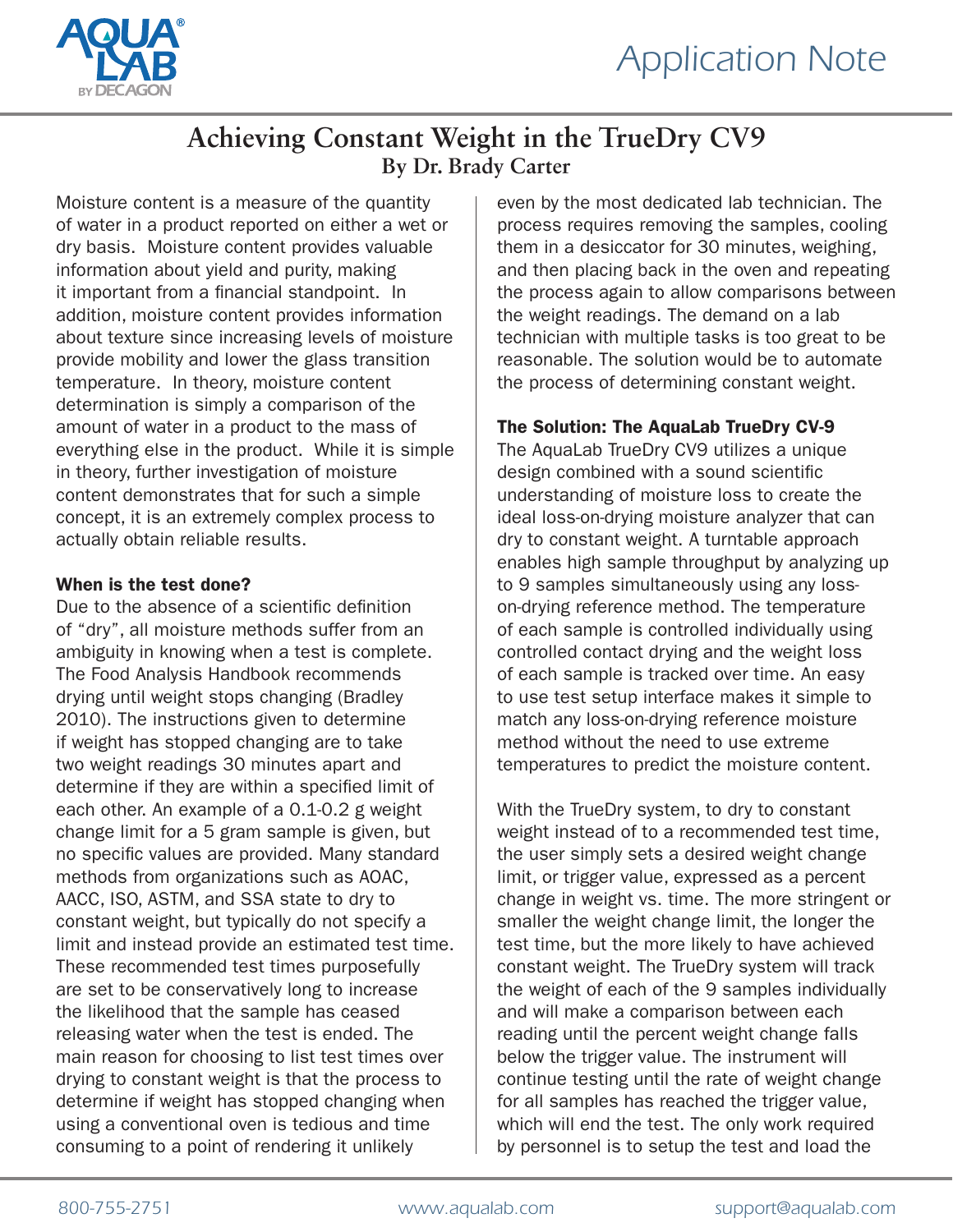

### **Achieving Constant Weight in the TrueDry CV9 By Dr. Brady Carter**

Moisture content is a measure of the quantity of water in a product reported on either a wet or dry basis. Moisture content provides valuable information about yield and purity, making it important from a financial standpoint. In addition, moisture content provides information about texture since increasing levels of moisture provide mobility and lower the glass transition temperature. In theory, moisture content determination is simply a comparison of the amount of water in a product to the mass of everything else in the product. While it is simple in theory, further investigation of moisture content demonstrates that for such a simple concept, it is an extremely complex process to actually obtain reliable results.

#### When is the test done?

Due to the absence of a scientific definition of "dry", all moisture methods suffer from an ambiguity in knowing when a test is complete. The Food Analysis Handbook recommends drying until weight stops changing (Bradley 2010). The instructions given to determine if weight has stopped changing are to take two weight readings 30 minutes apart and determine if they are within a specified limit of each other. An example of a 0.1-0.2 g weight change limit for a 5 gram sample is given, but no specific values are provided. Many standard methods from organizations such as AOAC, AACC, ISO, ASTM, and SSA state to dry to constant weight, but typically do not specify a limit and instead provide an estimated test time. These recommended test times purposefully are set to be conservatively long to increase the likelihood that the sample has ceased releasing water when the test is ended. The main reason for choosing to list test times over drying to constant weight is that the process to determine if weight has stopped changing when using a conventional oven is tedious and time consuming to a point of rendering it unlikely

even by the most dedicated lab technician. The process requires removing the samples, cooling them in a desiccator for 30 minutes, weighing, and then placing back in the oven and repeating the process again to allow comparisons between the weight readings. The demand on a lab technician with multiple tasks is too great to be reasonable. The solution would be to automate the process of determining constant weight.

#### The Solution: The AquaLab TrueDry CV-9

The AquaLab TrueDry CV9 utilizes a unique design combined with a sound scientific understanding of moisture loss to create the ideal loss-on-drying moisture analyzer that can dry to constant weight. A turntable approach enables high sample throughput by analyzing up to 9 samples simultaneously using any losson-drying reference method. The temperature of each sample is controlled individually using controlled contact drying and the weight loss of each sample is tracked over time. An easy to use test setup interface makes it simple to match any loss-on-drying reference moisture method without the need to use extreme temperatures to predict the moisture content.

With the TrueDry system, to dry to constant weight instead of to a recommended test time, the user simply sets a desired weight change limit, or trigger value, expressed as a percent change in weight vs. time. The more stringent or smaller the weight change limit, the longer the test time, but the more likely to have achieved constant weight. The TrueDry system will track the weight of each of the 9 samples individually and will make a comparison between each reading until the percent weight change falls below the trigger value. The instrument will continue testing until the rate of weight change for all samples has reached the trigger value, which will end the test. The only work required by personnel is to setup the test and load the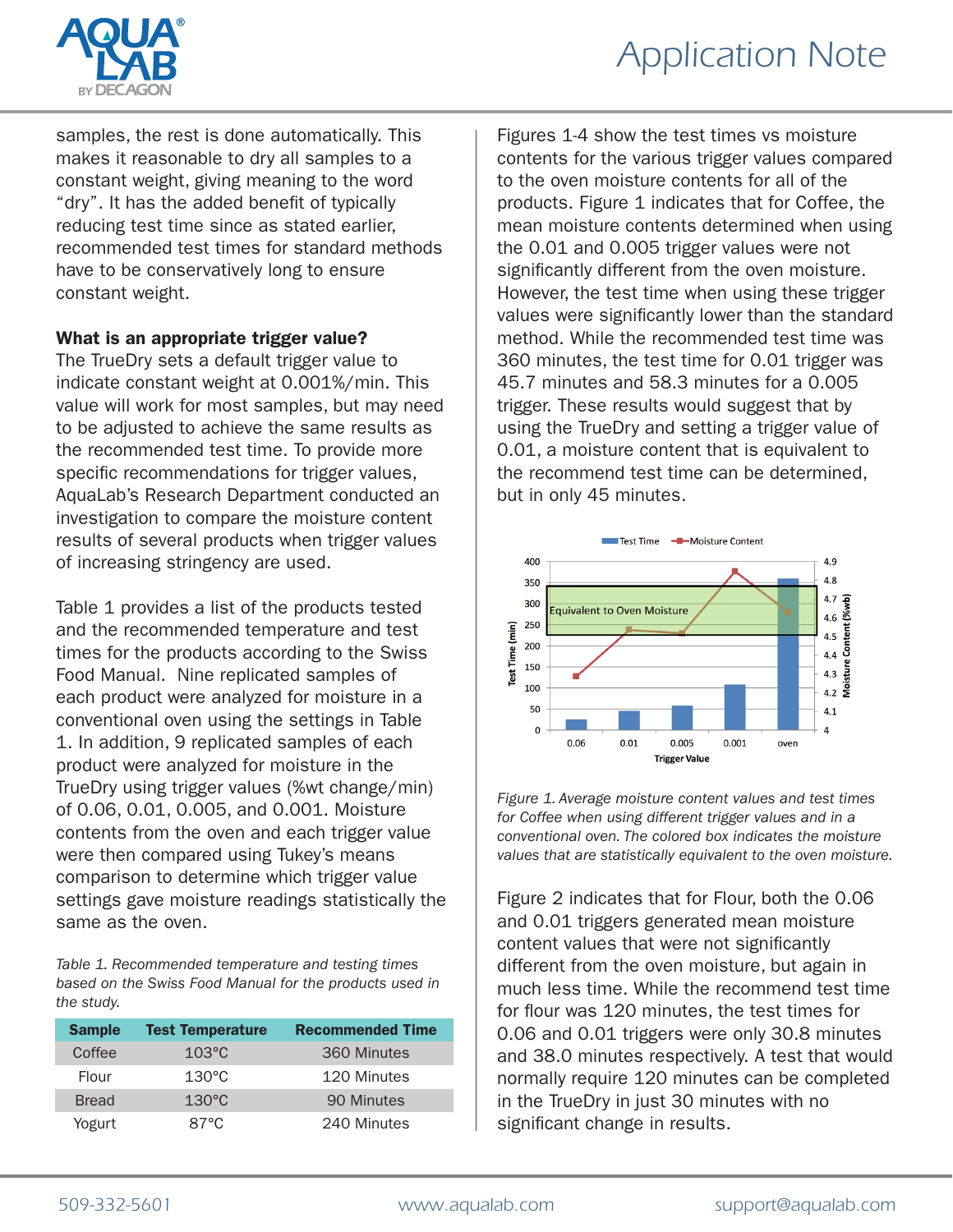



samples, the rest is done automatically. This makes it reasonable to dry all samples to a constant weight, giving meaning to the word "dry". It has the added benefit of typically reducing test time since as stated earlier, recommended test times for standard methods have to be conservatively long to ensure constant weight.

#### What is an appropriate trigger value?

The TrueDry sets a default trigger value to indicate constant weight at 0.001%/min. This value will work for most samples, but may need to be adjusted to achieve the same results as the recommended test time. To provide more specific recommendations for trigger values, AquaLab's Research Department conducted an investigation to compare the moisture content results of several products when trigger values of increasing stringency are used.

Table 1 provides a list of the products tested and the recommended temperature and test times for the products according to the Swiss Food Manual. Nine replicated samples of each product were analyzed for moisture in a conventional oven using the settings in Table 1. In addition, 9 replicated samples of each product were analyzed for moisture in the TrueDry using trigger values (%wt change/min) of 0.06, 0.01, 0.005, and 0.001. Moisture contents from the oven and each trigger value were then compared using Tukey's means comparison to determine which trigger value settings gave moisture readings statistically the same as the oven.

*Table 1. Recommended temperature and testing times based on the Swiss Food Manual for the products used in the study.*

| <b>Sample</b> | <b>Test Temperature</b> | <b>Recommended Time</b> |
|---------------|-------------------------|-------------------------|
| Coffee        | $103\textdegree C$      | 360 Minutes             |
| Flour         | $130^{\circ}$ C         | 120 Minutes             |
| <b>Bread</b>  | $130^{\circ}$ C         | 90 Minutes              |
| Yogurt        | 87°C                    | 240 Minutes             |

Figures 1-4 show the test times vs moisture contents for the various trigger values compared to the oven moisture contents for all of the products. Figure 1 indicates that for Coffee, the mean moisture contents determined when using the 0.01 and 0.005 trigger values were not significantly different from the oven moisture. However, the test time when using these trigger values were significantly lower than the standard method. While the recommended test time was 360 minutes, the test time for 0.01 trigger was 45.7 minutes and 58.3 minutes for a 0.005 trigger. These results would suggest that by using the TrueDry and setting a trigger value of 0.01, a moisture content that is equivalent to the recommend test time can be determined, but in only 45 minutes.



*Figure 1. Average moisture content values and test times for Coffee when using different trigger values and in a conventional oven. The colored box indicates the moisture values that are statistically equivalent to the oven moisture.*

Figure 2 indicates that for Flour, both the 0.06 and 0.01 triggers generated mean moisture content values that were not significantly different from the oven moisture, but again in much less time. While the recommend test time for flour was 120 minutes, the test times for 0.06 and 0.01 triggers were only 30.8 minutes and 38.0 minutes respectively. A test that would normally require 120 minutes can be completed in the TrueDry in just 30 minutes with no significant change in results.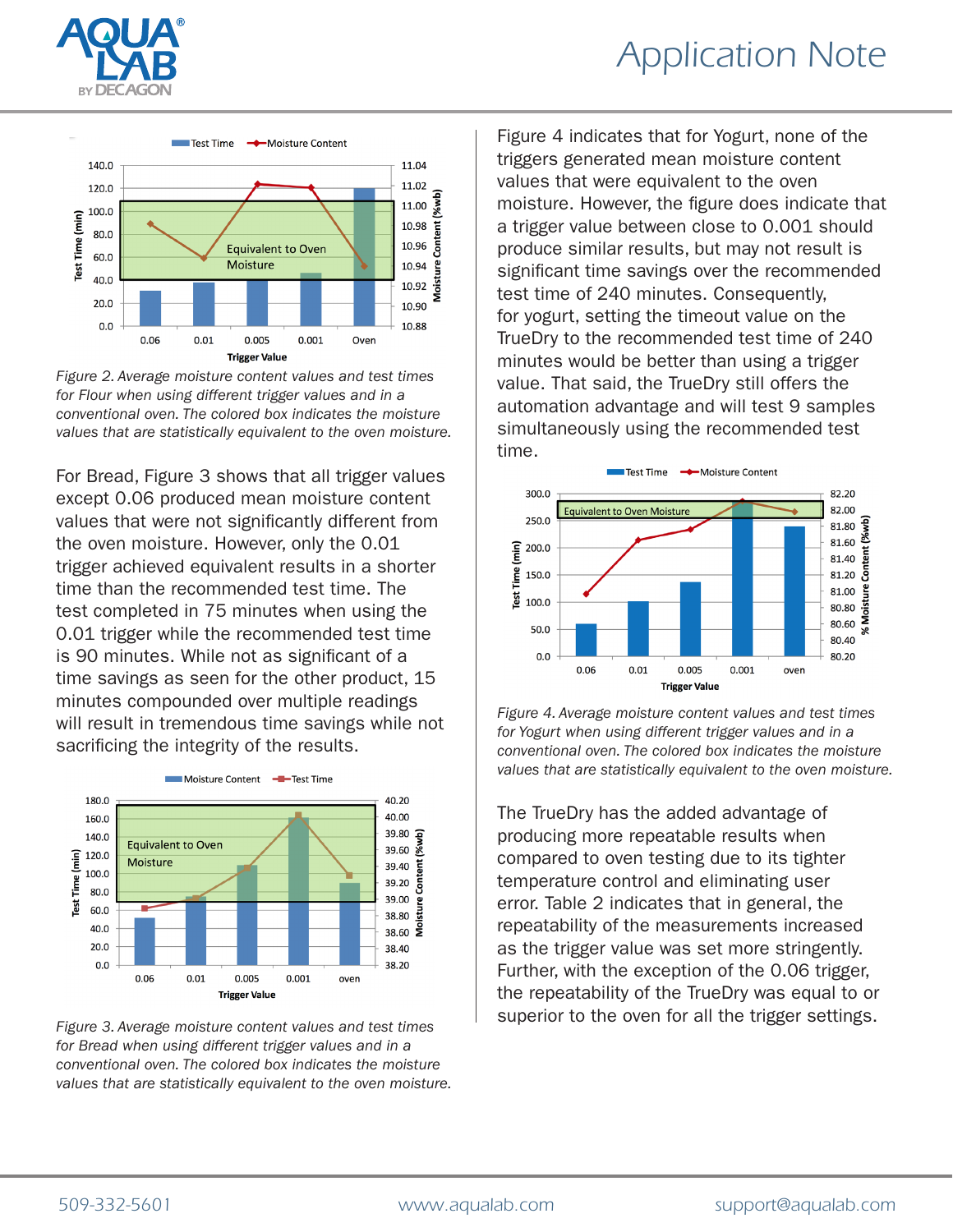

## *Application Note*



*Figure 2. Average moisture content values and test times for Flour when using different trigger values and in a conventional oven. The colored box indicates the moisture values that are statistically equivalent to the oven moisture.*

For Bread, Figure 3 shows that all trigger values except 0.06 produced mean moisture content values that were not significantly different from the oven moisture. However, only the 0.01 trigger achieved equivalent results in a shorter time than the recommended test time. The test completed in 75 minutes when using the 0.01 trigger while the recommended test time is 90 minutes. While not as significant of a time savings as seen for the other product, 15 minutes compounded over multiple readings will result in tremendous time savings while not sacrificing the integrity of the results.



*Figure 3. Average moisture content values and test times for Bread when using different trigger values and in a conventional oven. The colored box indicates the moisture values that are statistically equivalent to the oven moisture.*

Figure 4 indicates that for Yogurt, none of the triggers generated mean moisture content values that were equivalent to the oven moisture. However, the figure does indicate that a trigger value between close to 0.001 should produce similar results, but may not result is significant time savings over the recommended test time of 240 minutes. Consequently, for yogurt, setting the timeout value on the TrueDry to the recommended test time of 240 minutes would be better than using a trigger value. That said, the TrueDry still offers the automation advantage and will test 9 samples simultaneously using the recommended test time.



*Figure 4. Average moisture content values and test times for Yogurt when using different trigger values and in a conventional oven. The colored box indicates the moisture values that are statistically equivalent to the oven moisture.*

The TrueDry has the added advantage of producing more repeatable results when compared to oven testing due to its tighter temperature control and eliminating user error. Table 2 indicates that in general, the repeatability of the measurements increased as the trigger value was set more stringently. Further, with the exception of the 0.06 trigger, the repeatability of the TrueDry was equal to or superior to the oven for all the trigger settings.